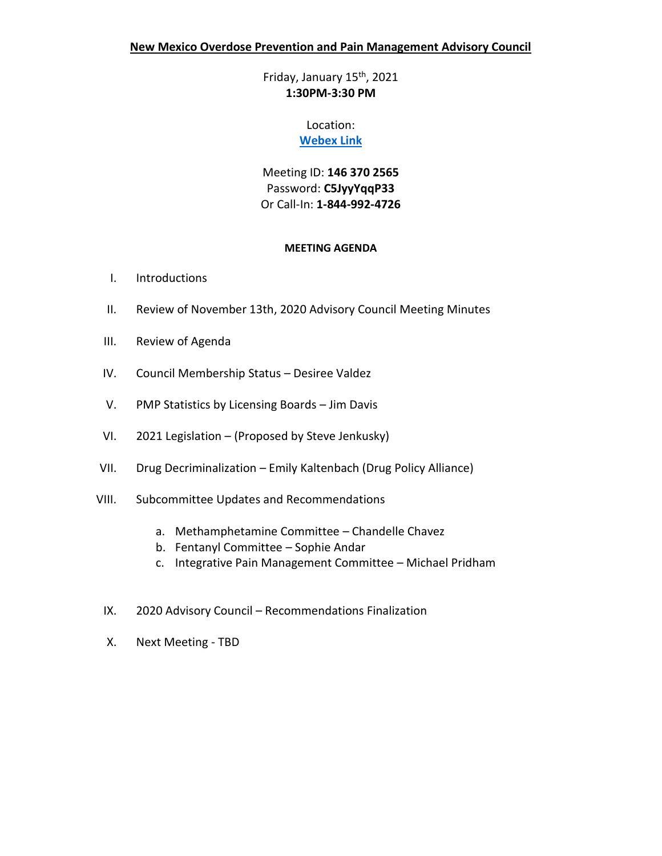Friday, January 15th, 2021 **1:30PM-3:30 PM**

# Location:

## **[Webex Link](https://nmdoh.webex.com/nmdoh/j.php?MTID=mbf4560788c9fa1068d613a3e68b3bf61)**

Meeting ID: **146 370 2565** Password: **C5JyyYqqP33**  Or Call-In: **1-844-992-4726**

## **MEETING AGENDA**

- I. Introductions
- II. Review of November 13th, 2020 Advisory Council Meeting Minutes
- III. Review of Agenda
- IV. Council Membership Status Desiree Valdez
- V. PMP Statistics by Licensing Boards Jim Davis
- VI. 2021 Legislation (Proposed by Steve Jenkusky)
- VII. Drug Decriminalization Emily Kaltenbach (Drug Policy Alliance)
- VIII. Subcommittee Updates and Recommendations
	- a. Methamphetamine Committee Chandelle Chavez
	- b. Fentanyl Committee Sophie Andar
	- c. Integrative Pain Management Committee Michael Pridham
	- IX. 2020 Advisory Council Recommendations Finalization
	- X. Next Meeting TBD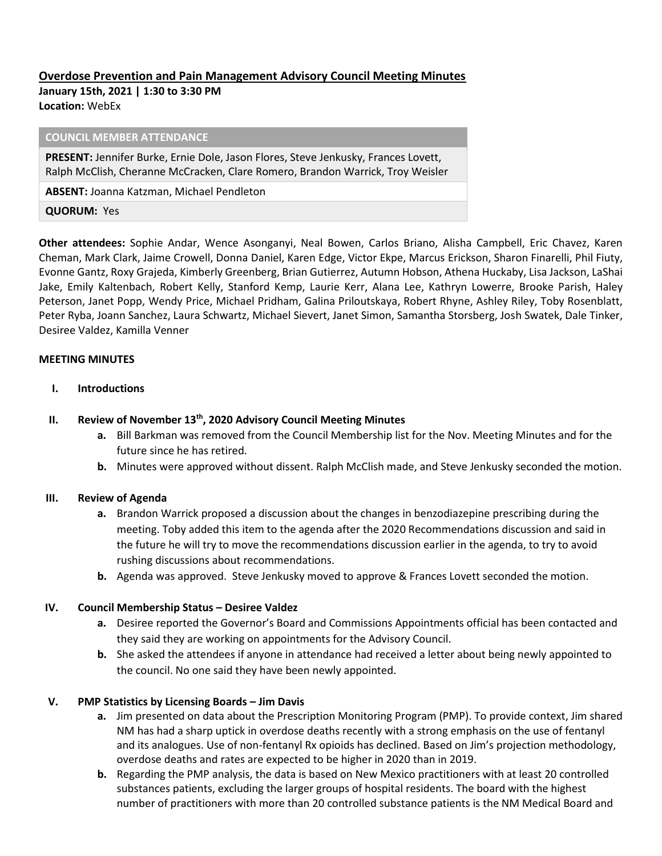# **Overdose Prevention and Pain Management Advisory Council Meeting Minutes January 15th, 2021 | 1:30 to 3:30 PM Location:** WebEx

#### **COUNCIL MEMBER ATTENDANCE**

**PRESENT:** Jennifer Burke, Ernie Dole, Jason Flores, Steve Jenkusky, Frances Lovett, Ralph McClish, Cheranne McCracken, Clare Romero, Brandon Warrick, Troy Weisler

**ABSENT:** Joanna Katzman, Michael Pendleton

**QUORUM:** Yes

**Other attendees:** Sophie Andar, Wence Asonganyi, Neal Bowen, Carlos Briano, Alisha Campbell, Eric Chavez, Karen Cheman, Mark Clark, Jaime Crowell, Donna Daniel, Karen Edge, Victor Ekpe, Marcus Erickson, Sharon Finarelli, Phil Fiuty, Evonne Gantz, Roxy Grajeda, Kimberly Greenberg, Brian Gutierrez, Autumn Hobson, Athena Huckaby, Lisa Jackson, LaShai Jake, Emily Kaltenbach, Robert Kelly, Stanford Kemp, Laurie Kerr, Alana Lee, Kathryn Lowerre, Brooke Parish, Haley Peterson, Janet Popp, Wendy Price, Michael Pridham, Galina Priloutskaya, Robert Rhyne, Ashley Riley, Toby Rosenblatt, Peter Ryba, Joann Sanchez, Laura Schwartz, Michael Sievert, Janet Simon, Samantha Storsberg, Josh Swatek, Dale Tinker, Desiree Valdez, Kamilla Venner

#### **MEETING MINUTES**

**I. Introductions** 

### **II. Review of November 13th, 2020 Advisory Council Meeting Minutes**

- **a.** Bill Barkman was removed from the Council Membership list for the Nov. Meeting Minutes and for the future since he has retired.
- **b.** Minutes were approved without dissent. Ralph McClish made, and Steve Jenkusky seconded the motion.

### **III. Review of Agenda**

- **a.** Brandon Warrick proposed a discussion about the changes in benzodiazepine prescribing during the meeting. Toby added this item to the agenda after the 2020 Recommendations discussion and said in the future he will try to move the recommendations discussion earlier in the agenda, to try to avoid rushing discussions about recommendations.
- **b.** Agenda was approved. Steve Jenkusky moved to approve & Frances Lovett seconded the motion.

#### **IV. Council Membership Status – Desiree Valdez**

- **a.** Desiree reported the Governor's Board and Commissions Appointments official has been contacted and they said they are working on appointments for the Advisory Council.
- **b.** She asked the attendees if anyone in attendance had received a letter about being newly appointed to the council. No one said they have been newly appointed.

### **V. PMP Statistics by Licensing Boards – Jim Davis**

- **a.** Jim presented on data about the Prescription Monitoring Program (PMP). To provide context, Jim shared NM has had a sharp uptick in overdose deaths recently with a strong emphasis on the use of fentanyl and its analogues. Use of non-fentanyl Rx opioids has declined. Based on Jim's projection methodology, overdose deaths and rates are expected to be higher in 2020 than in 2019.
- **b.** Regarding the PMP analysis, the data is based on New Mexico practitioners with at least 20 controlled substances patients, excluding the larger groups of hospital residents. The board with the highest number of practitioners with more than 20 controlled substance patients is the NM Medical Board and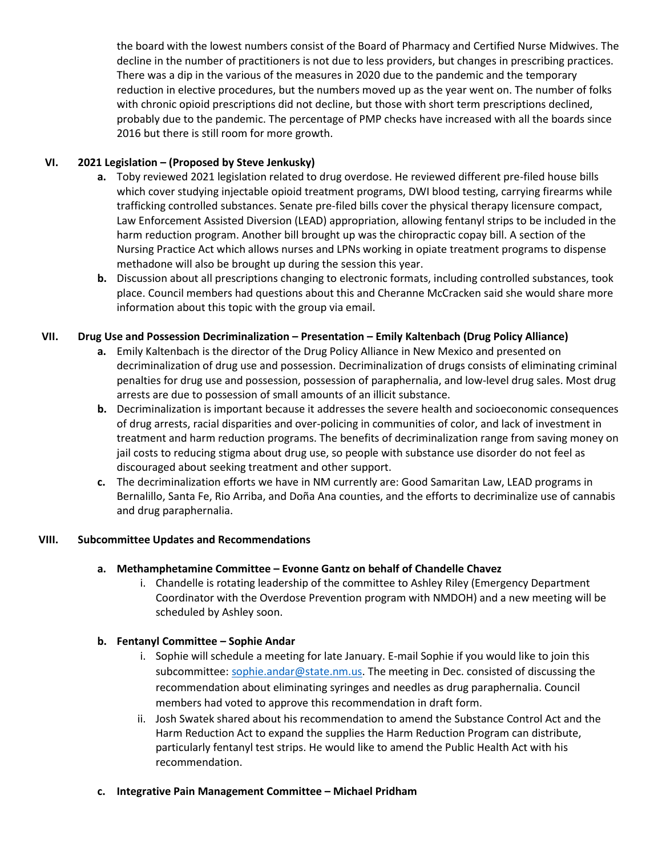the board with the lowest numbers consist of the Board of Pharmacy and Certified Nurse Midwives. The decline in the number of practitioners is not due to less providers, but changes in prescribing practices. There was a dip in the various of the measures in 2020 due to the pandemic and the temporary reduction in elective procedures, but the numbers moved up as the year went on. The number of folks with chronic opioid prescriptions did not decline, but those with short term prescriptions declined, probably due to the pandemic. The percentage of PMP checks have increased with all the boards since 2016 but there is still room for more growth.

## **VI. 2021 Legislation – (Proposed by Steve Jenkusky)**

- **a.** Toby reviewed 2021 legislation related to drug overdose. He reviewed different pre-filed house bills which cover studying injectable opioid treatment programs, DWI blood testing, carrying firearms while trafficking controlled substances. Senate pre-filed bills cover the physical therapy licensure compact, Law Enforcement Assisted Diversion (LEAD) appropriation, allowing fentanyl strips to be included in the harm reduction program. Another bill brought up was the chiropractic copay bill. A section of the Nursing Practice Act which allows nurses and LPNs working in opiate treatment programs to dispense methadone will also be brought up during the session this year.
- **b.** Discussion about all prescriptions changing to electronic formats, including controlled substances, took place. Council members had questions about this and Cheranne McCracken said she would share more information about this topic with the group via email.

## **VII. Drug Use and Possession Decriminalization – Presentation – Emily Kaltenbach (Drug Policy Alliance)**

- **a.** Emily Kaltenbach is the director of the Drug Policy Alliance in New Mexico and presented on decriminalization of drug use and possession. Decriminalization of drugs consists of eliminating criminal penalties for drug use and possession, possession of paraphernalia, and low-level drug sales. Most drug arrests are due to possession of small amounts of an illicit substance.
- **b.** Decriminalization is important because it addresses the severe health and socioeconomic consequences of drug arrests, racial disparities and over-policing in communities of color, and lack of investment in treatment and harm reduction programs. The benefits of decriminalization range from saving money on jail costs to reducing stigma about drug use, so people with substance use disorder do not feel as discouraged about seeking treatment and other support.
- **c.** The decriminalization efforts we have in NM currently are: Good Samaritan Law, LEAD programs in Bernalillo, Santa Fe, Rio Arriba, and Doña Ana counties, and the efforts to decriminalize use of cannabis and drug paraphernalia.

## **VIII. Subcommittee Updates and Recommendations**

## **a. Methamphetamine Committee – Evonne Gantz on behalf of Chandelle Chavez**

i. Chandelle is rotating leadership of the committee to Ashley Riley (Emergency Department Coordinator with the Overdose Prevention program with NMDOH) and a new meeting will be scheduled by Ashley soon.

## **b. Fentanyl Committee – Sophie Andar**

- i. Sophie will schedule a meeting for late January. E-mail Sophie if you would like to join this subcommittee: [sophie.andar@state.nm.us.](mailto:sophie.andar@state.nm.us) The meeting in Dec. consisted of discussing the recommendation about eliminating syringes and needles as drug paraphernalia. Council members had voted to approve this recommendation in draft form.
- ii. Josh Swatek shared about his recommendation to amend the Substance Control Act and the Harm Reduction Act to expand the supplies the Harm Reduction Program can distribute, particularly fentanyl test strips. He would like to amend the Public Health Act with his recommendation.
- **c. Integrative Pain Management Committee – Michael Pridham**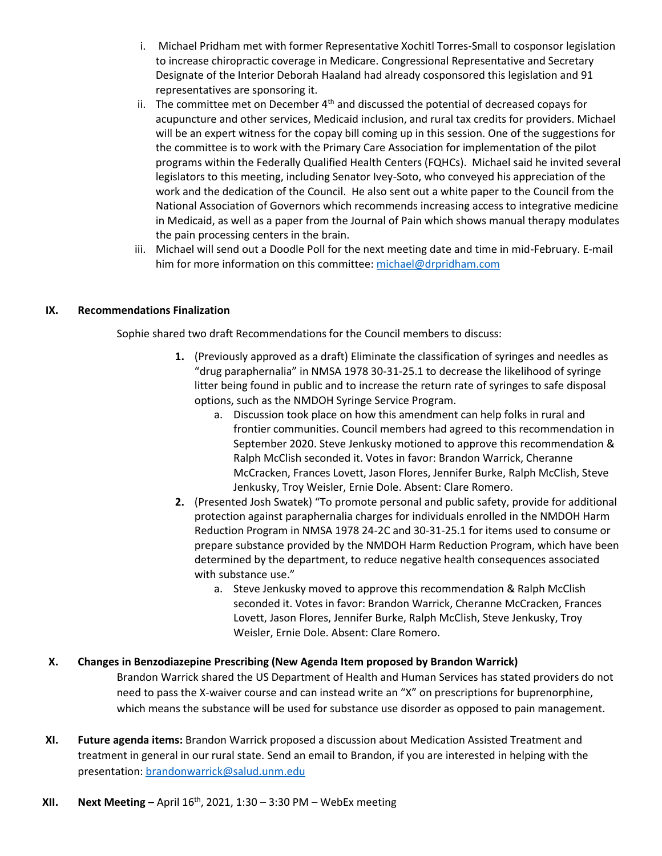- i. Michael Pridham met with former Representative Xochitl Torres-Small to cosponsor legislation to increase chiropractic coverage in Medicare. Congressional Representative and Secretary Designate of the Interior Deborah Haaland had already cosponsored this legislation and 91 representatives are sponsoring it.
- ii. The committee met on December  $4<sup>th</sup>$  and discussed the potential of decreased copays for acupuncture and other services, Medicaid inclusion, and rural tax credits for providers. Michael will be an expert witness for the copay bill coming up in this session. One of the suggestions for the committee is to work with the Primary Care Association for implementation of the pilot programs within the Federally Qualified Health Centers (FQHCs). Michael said he invited several legislators to this meeting, including Senator Ivey-Soto, who conveyed his appreciation of the work and the dedication of the Council. He also sent out a white paper to the Council from the National Association of Governors which recommends increasing access to integrative medicine in Medicaid, as well as a paper from the Journal of Pain which shows manual therapy modulates the pain processing centers in the brain.
- iii. Michael will send out a Doodle Poll for the next meeting date and time in mid-February. E-mail him for more information on this committee: [michael@drpridham.com](mailto:michael@drpridham.com)

## **IX. Recommendations Finalization**

Sophie shared two draft Recommendations for the Council members to discuss:

- **1.** (Previously approved as a draft) Eliminate the classification of syringes and needles as "drug paraphernalia" in NMSA 1978 30-31-25.1 to decrease the likelihood of syringe litter being found in public and to increase the return rate of syringes to safe disposal options, such as the NMDOH Syringe Service Program.
	- a. Discussion took place on how this amendment can help folks in rural and frontier communities. Council members had agreed to this recommendation in September 2020. Steve Jenkusky motioned to approve this recommendation & Ralph McClish seconded it. Votes in favor: Brandon Warrick, Cheranne McCracken, Frances Lovett, Jason Flores, Jennifer Burke, Ralph McClish, Steve Jenkusky, Troy Weisler, Ernie Dole. Absent: Clare Romero.
- **2.** (Presented Josh Swatek) "To promote personal and public safety, provide for additional protection against paraphernalia charges for individuals enrolled in the NMDOH Harm Reduction Program in NMSA 1978 24-2C and 30-31-25.1 for items used to consume or prepare substance provided by the NMDOH Harm Reduction Program, which have been determined by the department, to reduce negative health consequences associated with substance use."
	- a. Steve Jenkusky moved to approve this recommendation & Ralph McClish seconded it. Votes in favor: Brandon Warrick, Cheranne McCracken, Frances Lovett, Jason Flores, Jennifer Burke, Ralph McClish, Steve Jenkusky, Troy Weisler, Ernie Dole. Absent: Clare Romero.

### **X. Changes in Benzodiazepine Prescribing (New Agenda Item proposed by Brandon Warrick)**

Brandon Warrick shared the US Department of Health and Human Services has stated providers do not need to pass the X-waiver course and can instead write an "X" on prescriptions for buprenorphine, which means the substance will be used for substance use disorder as opposed to pain management.

**XI. Future agenda items:** Brandon Warrick proposed a discussion about Medication Assisted Treatment and treatment in general in our rural state. Send an email to Brandon, if you are interested in helping with the presentation: [brandonwarrick@salud.unm.edu](mailto:brandonwarrick@salud.unm.edu)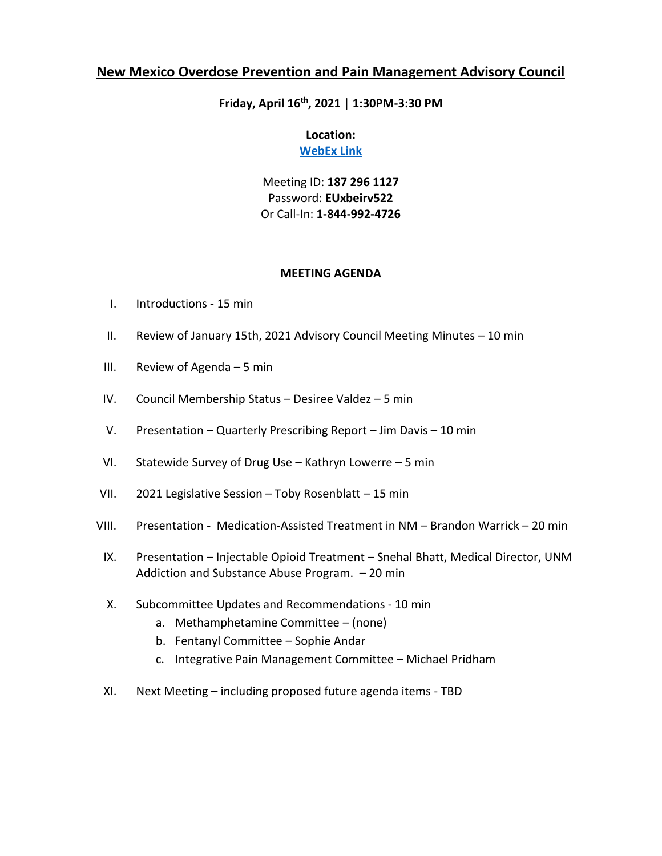# **Friday, April 16th, 2021** | **1:30PM-3:30 PM**

## **Location: [WebEx Link](https://nmdoh.webex.com/nmdoh/j.php?MTID=m1da20daf0d61d1e95a474a5406f78b1e)**

Meeting ID: **187 296 1127** Password: **EUxbeirv522**  Or Call-In: **1-844-992-4726**

### **MEETING AGENDA**

- I. Introductions 15 min
- II. Review of January 15th, 2021 Advisory Council Meeting Minutes 10 min
- III. Review of Agenda 5 min
- IV. Council Membership Status Desiree Valdez 5 min
- V. Presentation Quarterly Prescribing Report Jim Davis 10 min
- VI. Statewide Survey of Drug Use Kathryn Lowerre 5 min
- VII. 2021 Legislative Session Toby Rosenblatt 15 min
- VIII. Presentation Medication-Assisted Treatment in NM Brandon Warrick 20 min
	- IX. Presentation Injectable Opioid Treatment Snehal Bhatt, Medical Director, UNM Addiction and Substance Abuse Program. – 20 min
	- X. Subcommittee Updates and Recommendations 10 min
		- a. Methamphetamine Committee (none)
		- b. Fentanyl Committee Sophie Andar
		- c. Integrative Pain Management Committee Michael Pridham
	- XI. Next Meeting including proposed future agenda items TBD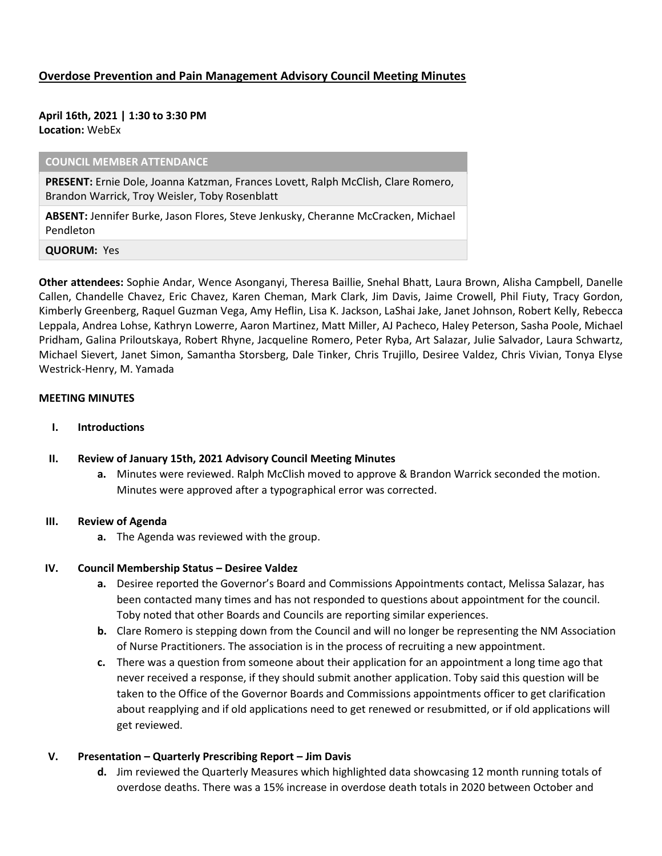## **Overdose Prevention and Pain Management Advisory Council Meeting Minutes**

**April 16th, 2021 | 1:30 to 3:30 PM Location:** WebEx

#### **COUNCIL MEMBER ATTENDANCE**

**PRESENT:** Ernie Dole, Joanna Katzman, Frances Lovett, Ralph McClish, Clare Romero, Brandon Warrick, Troy Weisler, Toby Rosenblatt

**ABSENT:** Jennifer Burke, Jason Flores, Steve Jenkusky, Cheranne McCracken, Michael Pendleton

**QUORUM:** Yes

**Other attendees:** Sophie Andar, Wence Asonganyi, Theresa Baillie, Snehal Bhatt, Laura Brown, Alisha Campbell, Danelle Callen, Chandelle Chavez, Eric Chavez, Karen Cheman, Mark Clark, Jim Davis, Jaime Crowell, Phil Fiuty, Tracy Gordon, Kimberly Greenberg, Raquel Guzman Vega, Amy Heflin, Lisa K. Jackson, LaShai Jake, Janet Johnson, Robert Kelly, Rebecca Leppala, Andrea Lohse, Kathryn Lowerre, Aaron Martinez, Matt Miller, AJ Pacheco, Haley Peterson, Sasha Poole, Michael Pridham, Galina Priloutskaya, Robert Rhyne, Jacqueline Romero, Peter Ryba, Art Salazar, Julie Salvador, Laura Schwartz, Michael Sievert, Janet Simon, Samantha Storsberg, Dale Tinker, Chris Trujillo, Desiree Valdez, Chris Vivian, Tonya Elyse Westrick-Henry, M. Yamada

#### **MEETING MINUTES**

**I. Introductions** 

#### **II. Review of January 15th, 2021 Advisory Council Meeting Minutes**

**a.** Minutes were reviewed. Ralph McClish moved to approve & Brandon Warrick seconded the motion. Minutes were approved after a typographical error was corrected.

#### **III. Review of Agenda**

**a.** The Agenda was reviewed with the group.

#### **IV.** Council Membership Status – Desiree Valdez

- **a.** Desiree reported the Governor's Board and Commissions Appointments contact, Melissa Salazar, has been contacted many times and has not responded to questions about appointment for the council. Toby noted that other Boards and Councils are reporting similar experiences.
- **b.** Clare Romero is stepping down from the Council and will no longer be representing the NM Association of Nurse Practitioners. The association is in the process of recruiting a new appointment.
- **c.** There was a question from someone about their application for an appointment a long time ago that never received a response, if they should submit another application. Toby said this question will be taken to the Office of the Governor Boards and Commissions appointments officer to get clarification about reapplying and if old applications need to get renewed or resubmitted, or if old applications will get reviewed.

#### **V. Presentation – Quarterly Prescribing Report – Jim Davis**

**d.** Jim reviewed the Quarterly Measures which highlighted data showcasing 12 month running totals of overdose deaths. There was a 15% increase in overdose death totals in 2020 between October and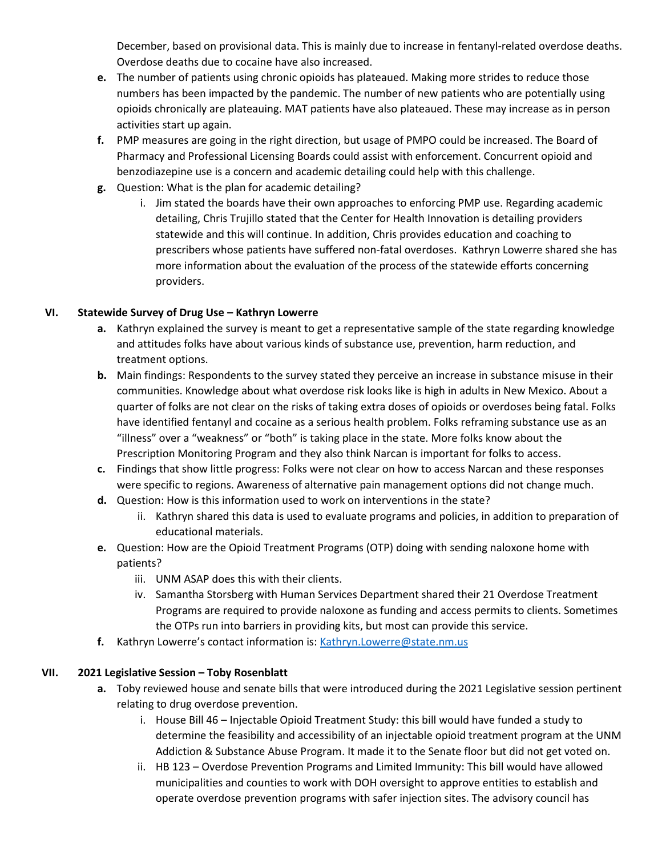December, based on provisional data. This is mainly due to increase in fentanyl-related overdose deaths. Overdose deaths due to cocaine have also increased.

- **e.** The number of patients using chronic opioids has plateaued. Making more strides to reduce those numbers has been impacted by the pandemic. The number of new patients who are potentially using opioids chronically are plateauing. MAT patients have also plateaued. These may increase as in person activities start up again.
- **f.** PMP measures are going in the right direction, but usage of PMPO could be increased. The Board of Pharmacy and Professional Licensing Boards could assist with enforcement. Concurrent opioid and benzodiazepine use is a concern and academic detailing could help with this challenge.
- **g.** Question: What is the plan for academic detailing?
	- i. Jim stated the boards have their own approaches to enforcing PMP use. Regarding academic detailing, Chris Trujillo stated that the Center for Health Innovation is detailing providers statewide and this will continue. In addition, Chris provides education and coaching to prescribers whose patients have suffered non-fatal overdoses. Kathryn Lowerre shared she has more information about the evaluation of the process of the statewide efforts concerning providers.

## **VI. Statewide Survey of Drug Use – Kathryn Lowerre**

- **a.** Kathryn explained the survey is meant to get a representative sample of the state regarding knowledge and attitudes folks have about various kinds of substance use, prevention, harm reduction, and treatment options.
- **b.** Main findings: Respondents to the survey stated they perceive an increase in substance misuse in their communities. Knowledge about what overdose risk looks like is high in adults in New Mexico. About a quarter of folks are not clear on the risks of taking extra doses of opioids or overdoses being fatal. Folks have identified fentanyl and cocaine as a serious health problem. Folks reframing substance use as an "illness" over a "weakness" or "both" is taking place in the state. More folks know about the Prescription Monitoring Program and they also think Narcan is important for folks to access.
- **c.** Findings that show little progress: Folks were not clear on how to access Narcan and these responses were specific to regions. Awareness of alternative pain management options did not change much.
- **d.** Question: How is this information used to work on interventions in the state?
	- ii. Kathryn shared this data is used to evaluate programs and policies, in addition to preparation of educational materials.
- **e.** Question: How are the Opioid Treatment Programs (OTP) doing with sending naloxone home with patients?
	- iii. UNM ASAP does this with their clients.
	- iv. Samantha Storsberg with Human Services Department shared their 21 Overdose Treatment Programs are required to provide naloxone as funding and access permits to clients. Sometimes the OTPs run into barriers in providing kits, but most can provide this service.
- **f.** Kathryn Lowerre's contact information is: [Kathryn.Lowerre@state.nm.us](mailto:Kathryn.Lowerre@state.nm.us)

### **VII. 2021 Legislative Session – Toby Rosenblatt**

- **a.** Toby reviewed house and senate bills that were introduced during the 2021 Legislative session pertinent relating to drug overdose prevention.
	- i. House Bill 46 Injectable Opioid Treatment Study: this bill would have funded a study to determine the feasibility and accessibility of an injectable opioid treatment program at the UNM Addiction & Substance Abuse Program. It made it to the Senate floor but did not get voted on.
	- ii. HB 123 Overdose Prevention Programs and Limited Immunity: This bill would have allowed municipalities and counties to work with DOH oversight to approve entities to establish and operate overdose prevention programs with safer injection sites. The advisory council has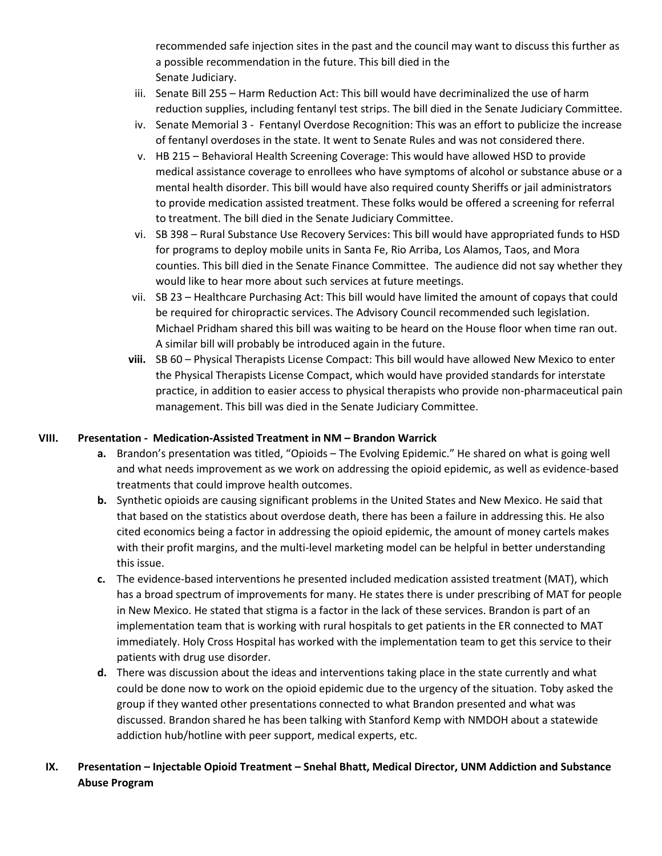recommended safe injection sites in the past and the council may want to discuss this further as a possible recommendation in the future. This bill died in the Senate Judiciary.

- iii. Senate Bill 255 Harm Reduction Act: This bill would have decriminalized the use of harm reduction supplies, including fentanyl test strips. The bill died in the Senate Judiciary Committee.
- iv. Senate Memorial 3 Fentanyl Overdose Recognition: This was an effort to publicize the increase of fentanyl overdoses in the state. It went to Senate Rules and was not considered there.
- v. HB 215 Behavioral Health Screening Coverage: This would have allowed HSD to provide medical assistance coverage to enrollees who have symptoms of alcohol or substance abuse or a mental health disorder. This bill would have also required county Sheriffs or jail administrators to provide medication assisted treatment. These folks would be offered a screening for referral to treatment. The bill died in the Senate Judiciary Committee.
- vi. SB 398 Rural Substance Use Recovery Services: This bill would have appropriated funds to HSD for programs to deploy mobile units in Santa Fe, Rio Arriba, Los Alamos, Taos, and Mora counties. This bill died in the Senate Finance Committee. The audience did not say whether they would like to hear more about such services at future meetings.
- vii. SB 23 Healthcare Purchasing Act: This bill would have limited the amount of copays that could be required for chiropractic services. The Advisory Council recommended such legislation. Michael Pridham shared this bill was waiting to be heard on the House floor when time ran out. A similar bill will probably be introduced again in the future.
- **viii.** SB 60 Physical Therapists License Compact: This bill would have allowed New Mexico to enter the Physical Therapists License Compact, which would have provided standards for interstate practice, in addition to easier access to physical therapists who provide non-pharmaceutical pain management. This bill was died in the Senate Judiciary Committee.

## **VIII. Presentation - Medication-Assisted Treatment in NM – Brandon Warrick**

- **a.** Brandon's presentation was titled, "Opioids The Evolving Epidemic." He shared on what is going well and what needs improvement as we work on addressing the opioid epidemic, as well as evidence-based treatments that could improve health outcomes.
- **b.** Synthetic opioids are causing significant problems in the United States and New Mexico. He said that that based on the statistics about overdose death, there has been a failure in addressing this. He also cited economics being a factor in addressing the opioid epidemic, the amount of money cartels makes with their profit margins, and the multi-level marketing model can be helpful in better understanding this issue.
- **c.** The evidence-based interventions he presented included medication assisted treatment (MAT), which has a broad spectrum of improvements for many. He states there is under prescribing of MAT for people in New Mexico. He stated that stigma is a factor in the lack of these services. Brandon is part of an implementation team that is working with rural hospitals to get patients in the ER connected to MAT immediately. Holy Cross Hospital has worked with the implementation team to get this service to their patients with drug use disorder.
- **d.** There was discussion about the ideas and interventions taking place in the state currently and what could be done now to work on the opioid epidemic due to the urgency of the situation. Toby asked the group if they wanted other presentations connected to what Brandon presented and what was discussed. Brandon shared he has been talking with Stanford Kemp with NMDOH about a statewide addiction hub/hotline with peer support, medical experts, etc.

# **IX. Presentation – Injectable Opioid Treatment – Snehal Bhatt, Medical Director, UNM Addiction and Substance Abuse Program**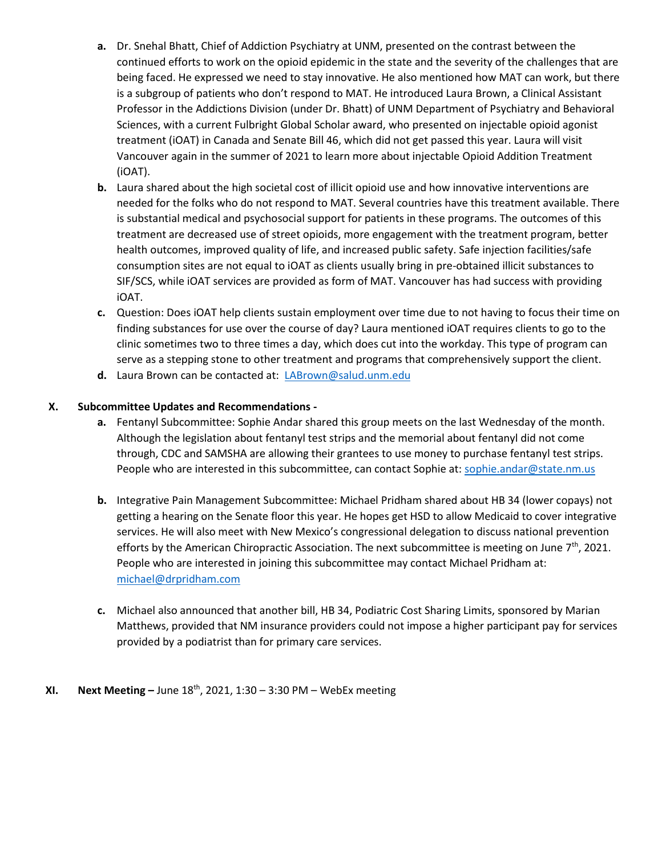- **a.** Dr. Snehal Bhatt, Chief of Addiction Psychiatry at UNM, presented on the contrast between the continued efforts to work on the opioid epidemic in the state and the severity of the challenges that are being faced. He expressed we need to stay innovative. He also mentioned how MAT can work, but there is a subgroup of patients who don't respond to MAT. He introduced Laura Brown, a Clinical Assistant Professor in the Addictions Division (under Dr. Bhatt) of UNM Department of Psychiatry and Behavioral Sciences, with a current Fulbright Global Scholar award, who presented on injectable opioid agonist treatment (iOAT) in Canada and Senate Bill 46, which did not get passed this year. Laura will visit Vancouver again in the summer of 2021 to learn more about injectable Opioid Addition Treatment (iOAT).
- **b.** Laura shared about the high societal cost of illicit opioid use and how innovative interventions are needed for the folks who do not respond to MAT. Several countries have this treatment available. There is substantial medical and psychosocial support for patients in these programs. The outcomes of this treatment are decreased use of street opioids, more engagement with the treatment program, better health outcomes, improved quality of life, and increased public safety. Safe injection facilities/safe consumption sites are not equal to iOAT as clients usually bring in pre-obtained illicit substances to SIF/SCS, while iOAT services are provided as form of MAT. Vancouver has had success with providing iOAT.
- **c.** Question: Does iOAT help clients sustain employment over time due to not having to focus their time on finding substances for use over the course of day? Laura mentioned iOAT requires clients to go to the clinic sometimes two to three times a day, which does cut into the workday. This type of program can serve as a stepping stone to other treatment and programs that comprehensively support the client.
- **d.** Laura Brown can be contacted at: [LABrown@salud.unm.edu](mailto:LABrown@salud.unm.edu)

## **X. Subcommittee Updates and Recommendations -**

- **a.** Fentanyl Subcommittee: Sophie Andar shared this group meets on the last Wednesday of the month. Although the legislation about fentanyl test strips and the memorial about fentanyl did not come through, CDC and SAMSHA are allowing their grantees to use money to purchase fentanyl test strips. People who are interested in this subcommittee, can contact Sophie at[: sophie.andar@state.nm.us](mailto:sophie.andar@state.nm.us)
- **b.** Integrative Pain Management Subcommittee: Michael Pridham shared about HB 34 (lower copays) not getting a hearing on the Senate floor this year. He hopes get HSD to allow Medicaid to cover integrative services. He will also meet with New Mexico's congressional delegation to discuss national prevention efforts by the American Chiropractic Association. The next subcommittee is meeting on June  $7<sup>th</sup>$ , 2021. People who are interested in joining this subcommittee may contact Michael Pridham at: [michael@drpridham.com](mailto:michael@drpridham.com)
- **c.** Michael also announced that another bill, HB 34, Podiatric Cost Sharing Limits, sponsored by Marian Matthews, provided that NM insurance providers could not impose a higher participant pay for services provided by a podiatrist than for primary care services.

### **XI. Next Meeting –** June 18 th, 2021, 1:30 – 3:30 PM – WebEx meeting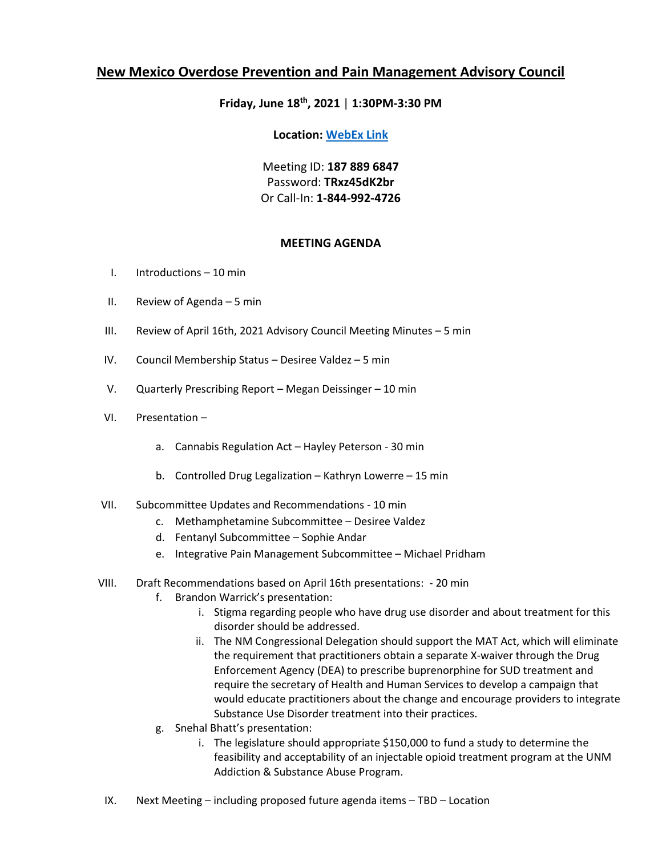## **Friday, June 18th, 2021** | **1:30PM-3:30 PM**

### **Location: [WebEx Link](https://nmdoh.webex.com/nmdoh/j.php?MTID=mb8d9069076ef21aee44ca39808c02126)**

Meeting ID: **187 889 6847** Password: **TRxz45dK2br** Or Call-In: **1-844-992-4726**

## **MEETING AGENDA**

- I. Introductions 10 min
- II. Review of Agenda 5 min
- III. Review of April 16th, 2021 Advisory Council Meeting Minutes 5 min
- IV. Council Membership Status Desiree Valdez 5 min
- V. Quarterly Prescribing Report Megan Deissinger 10 min
- VI. Presentation
	- a. Cannabis Regulation Act Hayley Peterson 30 min
	- b. Controlled Drug Legalization Kathryn Lowerre 15 min

### VII. Subcommittee Updates and Recommendations - 10 min

- c. Methamphetamine Subcommittee Desiree Valdez
- d. Fentanyl Subcommittee Sophie Andar
- e. Integrative Pain Management Subcommittee Michael Pridham
- VIII. Draft Recommendations based on April 16th presentations: 20 min
	- f. Brandon Warrick's presentation:
		- i. Stigma regarding people who have drug use disorder and about treatment for this disorder should be addressed.
		- ii. The NM Congressional Delegation should support the MAT Act, which will eliminate the requirement that practitioners obtain a separate X-waiver through the Drug Enforcement Agency (DEA) to prescribe buprenorphine for SUD treatment and require the secretary of Health and Human Services to develop a campaign that would educate practitioners about the change and encourage providers to integrate Substance Use Disorder treatment into their practices.
	- g. Snehal Bhatt's presentation:
		- i. The legislature should appropriate \$150,000 to fund a study to determine the feasibility and acceptability of an injectable opioid treatment program at the UNM Addiction & Substance Abuse Program.
- IX. Next Meeting including proposed future agenda items TBD Location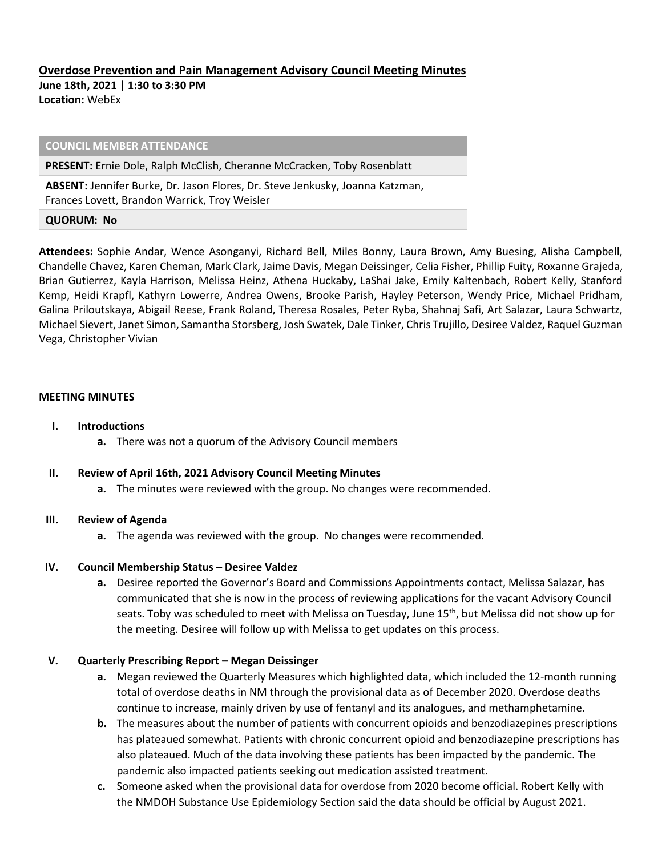## **Overdose Prevention and Pain Management Advisory Council Meeting Minutes**

**June 18th, 2021 | 1:30 to 3:30 PM Location:** WebEx

#### **COUNCIL MEMBER ATTENDANCE**

**PRESENT:** Ernie Dole, Ralph McClish, Cheranne McCracken, Toby Rosenblatt

**ABSENT:** Jennifer Burke, Dr. Jason Flores, Dr. Steve Jenkusky, Joanna Katzman, Frances Lovett, Brandon Warrick, Troy Weisler

#### **QUORUM: No**

**Attendees:** Sophie Andar, Wence Asonganyi, Richard Bell, Miles Bonny, Laura Brown, Amy Buesing, Alisha Campbell, Chandelle Chavez, Karen Cheman, Mark Clark, Jaime Davis, Megan Deissinger, Celia Fisher, Phillip Fuity, Roxanne Grajeda, Brian Gutierrez, Kayla Harrison, Melissa Heinz, Athena Huckaby, LaShai Jake, Emily Kaltenbach, Robert Kelly, Stanford Kemp, Heidi Krapfl, Kathyrn Lowerre, Andrea Owens, Brooke Parish, Hayley Peterson, Wendy Price, Michael Pridham, Galina Priloutskaya, Abigail Reese, Frank Roland, Theresa Rosales, Peter Ryba, Shahnaj Safi, Art Salazar, Laura Schwartz, Michael Sievert, Janet Simon, Samantha Storsberg, Josh Swatek, Dale Tinker, Chris Trujillo, Desiree Valdez, Raquel Guzman Vega, Christopher Vivian

#### **MEETING MINUTES**

- **I. Introductions** 
	- **a.** There was not a quorum of the Advisory Council members

### **II. Review of April 16th, 2021 Advisory Council Meeting Minutes**

**a.** The minutes were reviewed with the group. No changes were recommended.

### **III. Review of Agenda**

**a.** The agenda was reviewed with the group. No changes were recommended.

### **IV.** Council Membership Status - Desiree Valdez

**a.** Desiree reported the Governor's Board and Commissions Appointments contact, Melissa Salazar, has communicated that she is now in the process of reviewing applications for the vacant Advisory Council seats. Toby was scheduled to meet with Melissa on Tuesday, June 15<sup>th</sup>, but Melissa did not show up for the meeting. Desiree will follow up with Melissa to get updates on this process.

### **V. Quarterly Prescribing Report – Megan Deissinger**

- **a.** Megan reviewed the Quarterly Measures which highlighted data, which included the 12-month running total of overdose deaths in NM through the provisional data as of December 2020. Overdose deaths continue to increase, mainly driven by use of fentanyl and its analogues, and methamphetamine.
- **b.** The measures about the number of patients with concurrent opioids and benzodiazepines prescriptions has plateaued somewhat. Patients with chronic concurrent opioid and benzodiazepine prescriptions has also plateaued. Much of the data involving these patients has been impacted by the pandemic. The pandemic also impacted patients seeking out medication assisted treatment.
- **c.** Someone asked when the provisional data for overdose from 2020 become official. Robert Kelly with the NMDOH Substance Use Epidemiology Section said the data should be official by August 2021.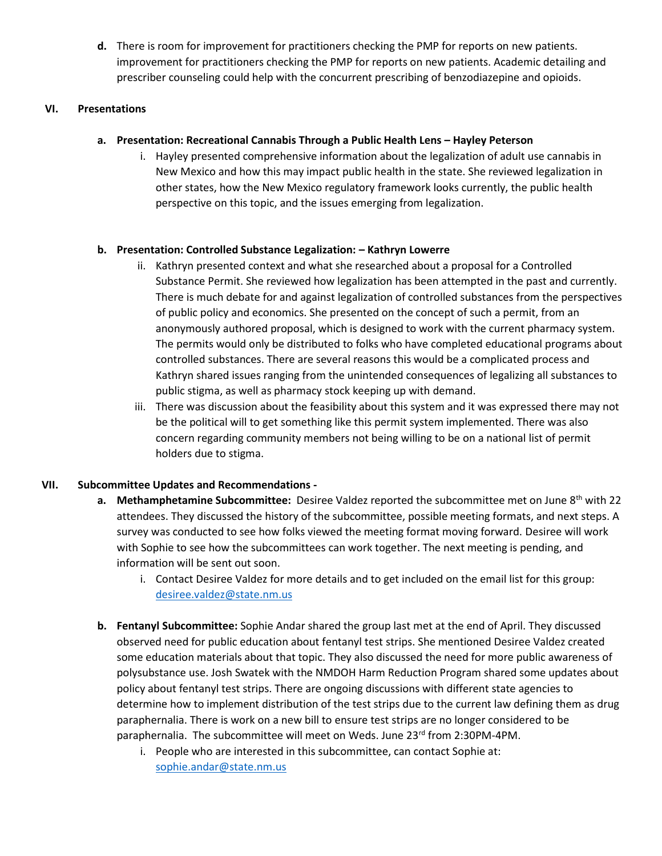**d.** There is room for improvement for practitioners checking the PMP for reports on new patients. improvement for practitioners checking the PMP for reports on new patients. Academic detailing and prescriber counseling could help with the concurrent prescribing of benzodiazepine and opioids.

## **VI. Presentations**

## **a. Presentation: Recreational Cannabis Through a Public Health Lens – Hayley Peterson**

i. Hayley presented comprehensive information about the legalization of adult use cannabis in New Mexico and how this may impact public health in the state. She reviewed legalization in other states, how the New Mexico regulatory framework looks currently, the public health perspective on this topic, and the issues emerging from legalization.

## **b. Presentation: Controlled Substance Legalization: – Kathryn Lowerre**

- ii. Kathryn presented context and what she researched about a proposal for a Controlled Substance Permit. She reviewed how legalization has been attempted in the past and currently. There is much debate for and against legalization of controlled substances from the perspectives of public policy and economics. She presented on the concept of such a permit, from an anonymously authored proposal, which is designed to work with the current pharmacy system. The permits would only be distributed to folks who have completed educational programs about controlled substances. There are several reasons this would be a complicated process and Kathryn shared issues ranging from the unintended consequences of legalizing all substances to public stigma, as well as pharmacy stock keeping up with demand.
- iii. There was discussion about the feasibility about this system and it was expressed there may not be the political will to get something like this permit system implemented. There was also concern regarding community members not being willing to be on a national list of permit holders due to stigma.

## **VII. Subcommittee Updates and Recommendations -**

- **a.** Methamphetamine Subcommittee: Desiree Valdez reported the subcommittee met on June 8<sup>th</sup> with 22 attendees. They discussed the history of the subcommittee, possible meeting formats, and next steps. A survey was conducted to see how folks viewed the meeting format moving forward. Desiree will work with Sophie to see how the subcommittees can work together. The next meeting is pending, and information will be sent out soon.
	- i. Contact Desiree Valdez for more details and to get included on the email list for this group: [desiree.valdez@state.nm.us](mailto:desiree.valdez@state.nm.us)
- **b. Fentanyl Subcommittee:** Sophie Andar shared the group last met at the end of April. They discussed observed need for public education about fentanyl test strips. She mentioned Desiree Valdez created some education materials about that topic. They also discussed the need for more public awareness of polysubstance use. Josh Swatek with the NMDOH Harm Reduction Program shared some updates about policy about fentanyl test strips. There are ongoing discussions with different state agencies to determine how to implement distribution of the test strips due to the current law defining them as drug paraphernalia. There is work on a new bill to ensure test strips are no longer considered to be paraphernalia. The subcommittee will meet on Weds. June 23rd from 2:30PM-4PM.
	- i. People who are interested in this subcommittee, can contact Sophie at: [sophie.andar@state.nm.us](mailto:sophie.andar@state.nm.us)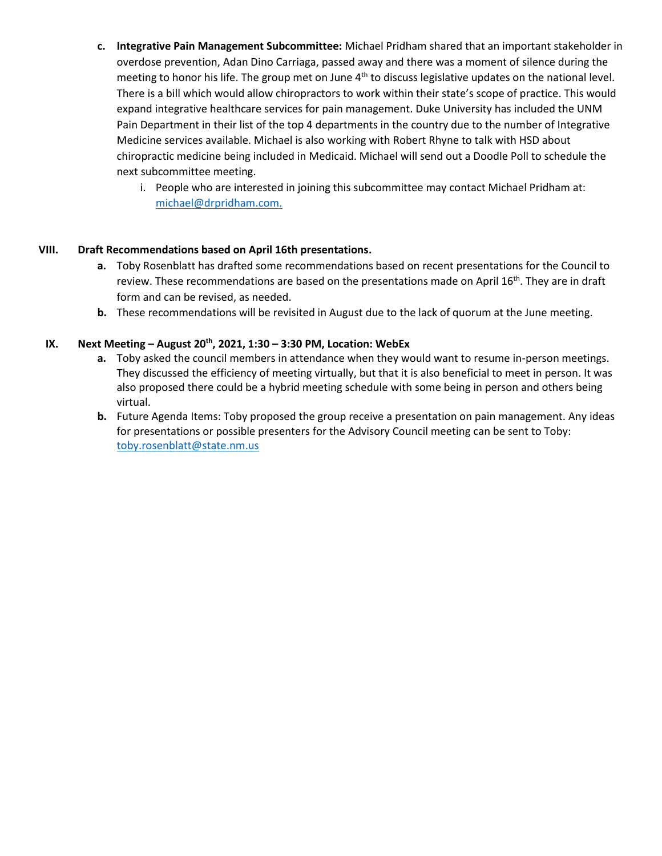- **c. Integrative Pain Management Subcommittee:** Michael Pridham shared that an important stakeholder in overdose prevention, Adan Dino Carriaga, passed away and there was a moment of silence during the meeting to honor his life. The group met on June 4<sup>th</sup> to discuss legislative updates on the national level. There is a bill which would allow chiropractors to work within their state's scope of practice. This would expand integrative healthcare services for pain management. Duke University has included the UNM Pain Department in their list of the top 4 departments in the country due to the number of Integrative Medicine services available. Michael is also working with Robert Rhyne to talk with HSD about chiropractic medicine being included in Medicaid. Michael will send out a Doodle Poll to schedule the next subcommittee meeting.
	- i. People who are interested in joining this subcommittee may contact Michael Pridham at: [michael@drpridham.com.](mailto:michael@drpridham.com)

## **VIII. Draft Recommendations based on April 16th presentations.**

- **a.** Toby Rosenblatt has drafted some recommendations based on recent presentations for the Council to review. These recommendations are based on the presentations made on April  $16<sup>th</sup>$ . They are in draft form and can be revised, as needed.
- **b.** These recommendations will be revisited in August due to the lack of quorum at the June meeting.

## **IX. Next Meeting – August 20th, 2021, 1:30 – 3:30 PM, Location: WebEx**

- **a.** Toby asked the council members in attendance when they would want to resume in-person meetings. They discussed the efficiency of meeting virtually, but that it is also beneficial to meet in person. It was also proposed there could be a hybrid meeting schedule with some being in person and others being virtual.
- **b.** Future Agenda Items: Toby proposed the group receive a presentation on pain management. Any ideas for presentations or possible presenters for the Advisory Council meeting can be sent to Toby: [toby.rosenblatt@state.nm.us](mailto:toby.rosenblatt@state.nm.us)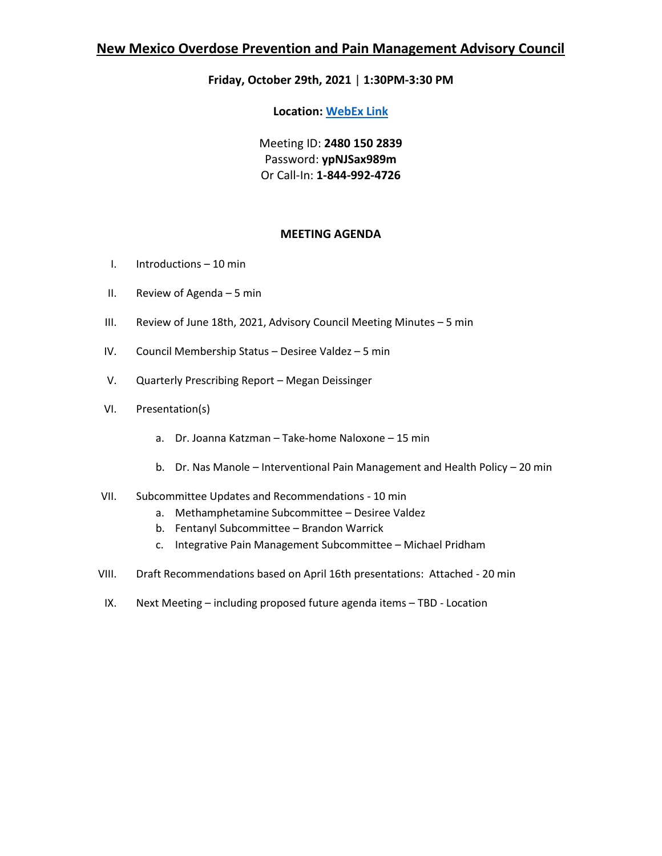# **Friday, October 29th, 2021** | **1:30PM-3:30 PM**

**Location: [WebEx Link](https://nmdoh.webex.com/nmdoh/j.php?MTID=meae9f7bf0d9b2dbe40f77b6881e99791)**

Meeting ID: **2480 150 2839** Password: **ypNJSax989m**  Or Call-In: **1-844-992-4726**

## **MEETING AGENDA**

- I. Introductions 10 min
- II. Review of Agenda 5 min
- III. Review of June 18th, 2021, Advisory Council Meeting Minutes 5 min
- IV. Council Membership Status Desiree Valdez 5 min
- V. Quarterly Prescribing Report Megan Deissinger
- VI. Presentation(s)
	- a. Dr. Joanna Katzman Take-home Naloxone 15 min
	- b. Dr. Nas Manole Interventional Pain Management and Health Policy 20 min
- VII. Subcommittee Updates and Recommendations 10 min
	- a. Methamphetamine Subcommittee Desiree Valdez
	- b. Fentanyl Subcommittee Brandon Warrick
	- c. Integrative Pain Management Subcommittee Michael Pridham
- VIII. Draft Recommendations based on April 16th presentations: Attached 20 min
- IX. Next Meeting including proposed future agenda items TBD Location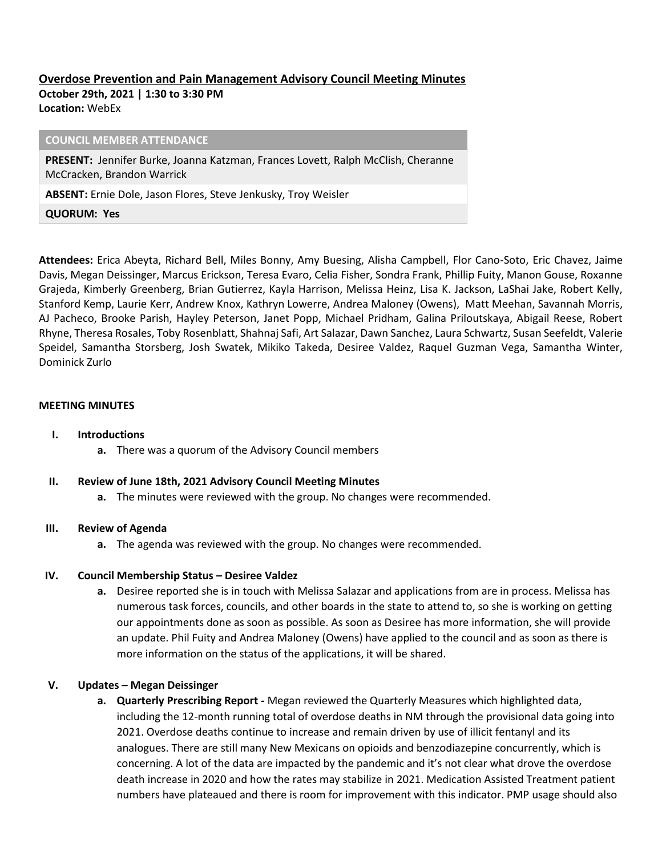# **Overdose Prevention and Pain Management Advisory Council Meeting Minutes**

**October 29th, 2021 | 1:30 to 3:30 PM Location:** WebEx

**COUNCIL MEMBER ATTENDANCE PRESENT:** Jennifer Burke, Joanna Katzman, Frances Lovett, Ralph McClish, Cheranne McCracken, Brandon Warrick **ABSENT:** Ernie Dole, Jason Flores, Steve Jenkusky, Troy Weisler **QUORUM: Yes**

**Attendees:** Erica Abeyta, Richard Bell, Miles Bonny, Amy Buesing, Alisha Campbell, Flor Cano-Soto, Eric Chavez, Jaime Davis, Megan Deissinger, Marcus Erickson, Teresa Evaro, Celia Fisher, Sondra Frank, Phillip Fuity, Manon Gouse, Roxanne Grajeda, Kimberly Greenberg, Brian Gutierrez, Kayla Harrison, Melissa Heinz, Lisa K. Jackson, LaShai Jake, Robert Kelly, Stanford Kemp, Laurie Kerr, Andrew Knox, Kathryn Lowerre, Andrea Maloney (Owens), Matt Meehan, Savannah Morris, AJ Pacheco, Brooke Parish, Hayley Peterson, Janet Popp, Michael Pridham, Galina Priloutskaya, Abigail Reese, Robert Rhyne, Theresa Rosales, Toby Rosenblatt, Shahnaj Safi, Art Salazar, Dawn Sanchez, Laura Schwartz, Susan Seefeldt, Valerie Speidel, Samantha Storsberg, Josh Swatek, Mikiko Takeda, Desiree Valdez, Raquel Guzman Vega, Samantha Winter, Dominick Zurlo

### **MEETING MINUTES**

### **I. Introductions**

**a.** There was a quorum of the Advisory Council members

### **II. Review of June 18th, 2021 Advisory Council Meeting Minutes**

**a.** The minutes were reviewed with the group. No changes were recommended.

### **III. Review of Agenda**

**a.** The agenda was reviewed with the group. No changes were recommended.

### **IV.** Council Membership Status - Desiree Valdez

**a.** Desiree reported she is in touch with Melissa Salazar and applications from are in process. Melissa has numerous task forces, councils, and other boards in the state to attend to, so she is working on getting our appointments done as soon as possible. As soon as Desiree has more information, she will provide an update. Phil Fuity and Andrea Maloney (Owens) have applied to the council and as soon as there is more information on the status of the applications, it will be shared.

## **V. Updates – Megan Deissinger**

**a. Quarterly Prescribing Report -** Megan reviewed the Quarterly Measures which highlighted data, including the 12-month running total of overdose deaths in NM through the provisional data going into 2021. Overdose deaths continue to increase and remain driven by use of illicit fentanyl and its analogues. There are still many New Mexicans on opioids and benzodiazepine concurrently, which is concerning. A lot of the data are impacted by the pandemic and it's not clear what drove the overdose death increase in 2020 and how the rates may stabilize in 2021. Medication Assisted Treatment patient numbers have plateaued and there is room for improvement with this indicator. PMP usage should also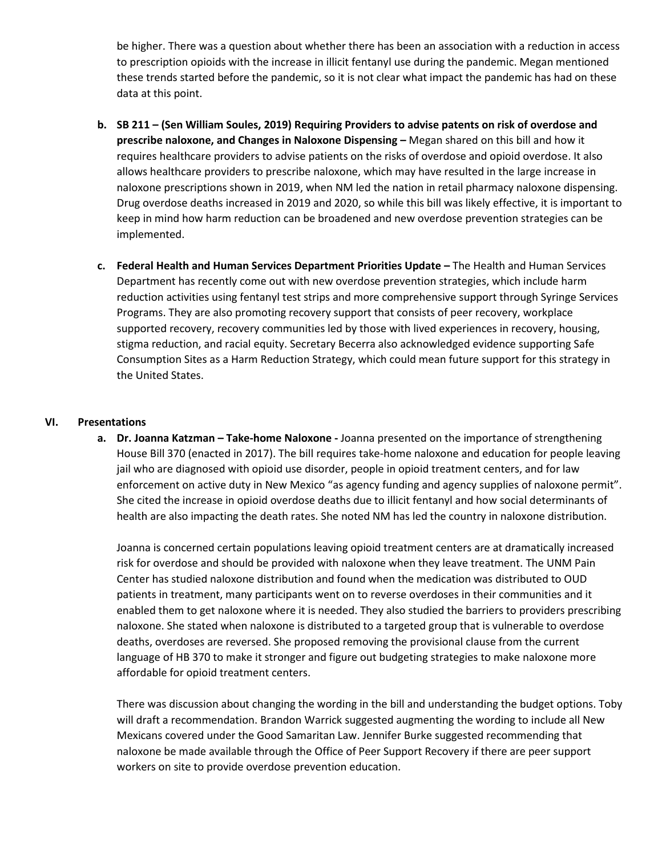be higher. There was a question about whether there has been an association with a reduction in access to prescription opioids with the increase in illicit fentanyl use during the pandemic. Megan mentioned these trends started before the pandemic, so it is not clear what impact the pandemic has had on these data at this point.

- **b. SB 211 – (Sen William Soules, 2019) Requiring Providers to advise patents on risk of overdose and prescribe naloxone, and Changes in Naloxone Dispensing –** Megan shared on this bill and how it requires healthcare providers to advise patients on the risks of overdose and opioid overdose. It also allows healthcare providers to prescribe naloxone, which may have resulted in the large increase in naloxone prescriptions shown in 2019, when NM led the nation in retail pharmacy naloxone dispensing. Drug overdose deaths increased in 2019 and 2020, so while this bill was likely effective, it is important to keep in mind how harm reduction can be broadened and new overdose prevention strategies can be implemented.
- **c. Federal Health and Human Services Department Priorities Update –** The Health and Human Services Department has recently come out with new overdose prevention strategies, which include harm reduction activities using fentanyl test strips and more comprehensive support through Syringe Services Programs. They are also promoting recovery support that consists of peer recovery, workplace supported recovery, recovery communities led by those with lived experiences in recovery, housing, stigma reduction, and racial equity. Secretary Becerra also acknowledged evidence supporting Safe Consumption Sites as a Harm Reduction Strategy, which could mean future support for this strategy in the United States.

#### **VI. Presentations**

**a. Dr. Joanna Katzman – Take-home Naloxone -** Joanna presented on the importance of strengthening House Bill 370 (enacted in 2017). The bill requires take-home naloxone and education for people leaving jail who are diagnosed with opioid use disorder, people in opioid treatment centers, and for law enforcement on active duty in New Mexico "as agency funding and agency supplies of naloxone permit". She cited the increase in opioid overdose deaths due to illicit fentanyl and how social determinants of health are also impacting the death rates. She noted NM has led the country in naloxone distribution.

Joanna is concerned certain populations leaving opioid treatment centers are at dramatically increased risk for overdose and should be provided with naloxone when they leave treatment. The UNM Pain Center has studied naloxone distribution and found when the medication was distributed to OUD patients in treatment, many participants went on to reverse overdoses in their communities and it enabled them to get naloxone where it is needed. They also studied the barriers to providers prescribing naloxone. She stated when naloxone is distributed to a targeted group that is vulnerable to overdose deaths, overdoses are reversed. She proposed removing the provisional clause from the current language of HB 370 to make it stronger and figure out budgeting strategies to make naloxone more affordable for opioid treatment centers.

There was discussion about changing the wording in the bill and understanding the budget options. Toby will draft a recommendation. Brandon Warrick suggested augmenting the wording to include all New Mexicans covered under the Good Samaritan Law. Jennifer Burke suggested recommending that naloxone be made available through the Office of Peer Support Recovery if there are peer support workers on site to provide overdose prevention education.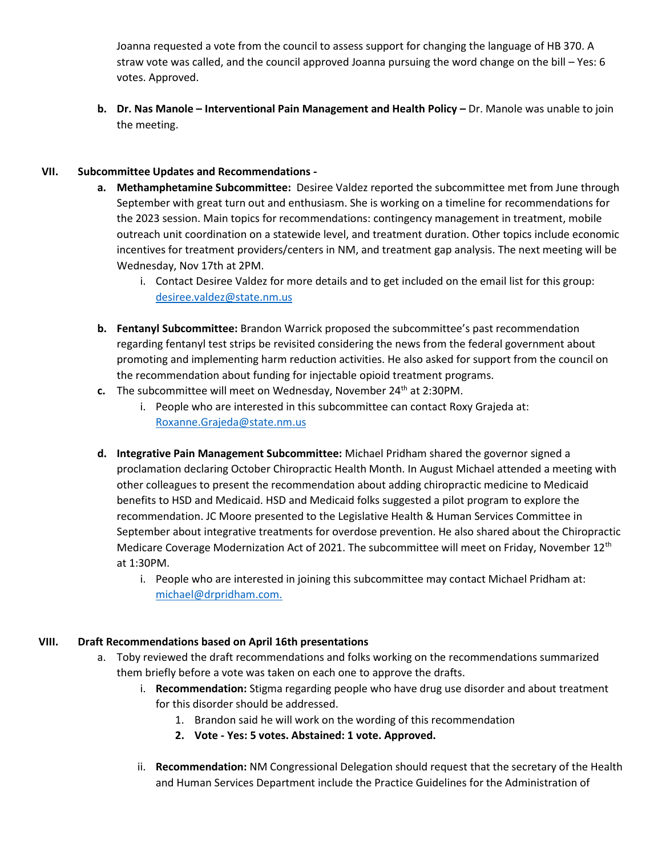Joanna requested a vote from the council to assess support for changing the language of HB 370. A straw vote was called, and the council approved Joanna pursuing the word change on the bill – Yes: 6 votes. Approved.

**b. Dr. Nas Manole – Interventional Pain Management and Health Policy –** Dr. Manole was unable to join the meeting.

# **VII. Subcommittee Updates and Recommendations -**

- **a. Methamphetamine Subcommittee:** Desiree Valdez reported the subcommittee met from June through September with great turn out and enthusiasm. She is working on a timeline for recommendations for the 2023 session. Main topics for recommendations: contingency management in treatment, mobile outreach unit coordination on a statewide level, and treatment duration. Other topics include economic incentives for treatment providers/centers in NM, and treatment gap analysis. The next meeting will be Wednesday, Nov 17th at 2PM.
	- i. Contact Desiree Valdez for more details and to get included on the email list for this group: [desiree.valdez@state.nm.us](mailto:desiree.valdez@state.nm.us)
- **b. Fentanyl Subcommittee:** Brandon Warrick proposed the subcommittee's past recommendation regarding fentanyl test strips be revisited considering the news from the federal government about promoting and implementing harm reduction activities. He also asked for support from the council on the recommendation about funding for injectable opioid treatment programs.
- **c.** The subcommittee will meet on Wednesday, November 24<sup>th</sup> at 2:30PM.
	- i. People who are interested in this subcommittee can contact Roxy Grajeda at: [Roxanne.Grajeda@state.nm.us](mailto:roxanne.grajeda@state.nm.us)
- **d. Integrative Pain Management Subcommittee:** Michael Pridham shared the governor signed a proclamation declaring October Chiropractic Health Month. In August Michael attended a meeting with other colleagues to present the recommendation about adding chiropractic medicine to Medicaid benefits to HSD and Medicaid. HSD and Medicaid folks suggested a pilot program to explore the recommendation. JC Moore presented to the Legislative Health & Human Services Committee in September about integrative treatments for overdose prevention. He also shared about the Chiropractic Medicare Coverage Modernization Act of 2021. The subcommittee will meet on Friday, November 12<sup>th</sup> at 1:30PM.
	- i. People who are interested in joining this subcommittee may contact Michael Pridham at: [michael@drpridham.com.](mailto:michael@drpridham.com)

# **VIII. Draft Recommendations based on April 16th presentations**

- a. Toby reviewed the draft recommendations and folks working on the recommendations summarized them briefly before a vote was taken on each one to approve the drafts.
	- i. **Recommendation:** Stigma regarding people who have drug use disorder and about treatment for this disorder should be addressed.
		- 1. Brandon said he will work on the wording of this recommendation
		- **2. Vote - Yes: 5 votes. Abstained: 1 vote. Approved.**
	- ii. **Recommendation:** NM Congressional Delegation should request that the secretary of the Health and Human Services Department include the Practice Guidelines for the Administration of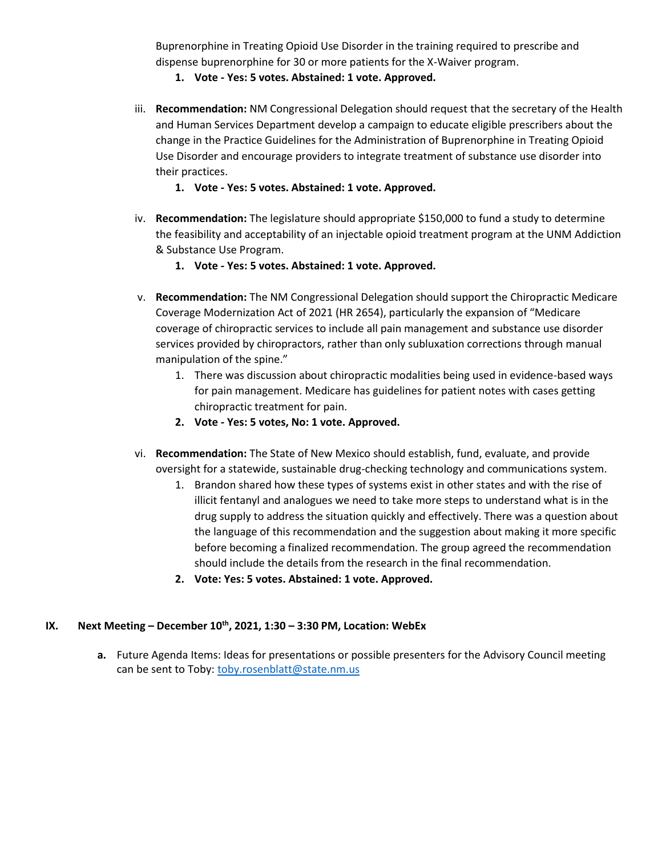Buprenorphine in Treating Opioid Use Disorder in the training required to prescribe and dispense buprenorphine for 30 or more patients for the X-Waiver program.

- **1. Vote - Yes: 5 votes. Abstained: 1 vote. Approved.**
- iii. **Recommendation:** NM Congressional Delegation should request that the secretary of the Health and Human Services Department develop a campaign to educate eligible prescribers about the change in the Practice Guidelines for the Administration of Buprenorphine in Treating Opioid Use Disorder and encourage providers to integrate treatment of substance use disorder into their practices.
	- **1. Vote - Yes: 5 votes. Abstained: 1 vote. Approved.**
- iv. **Recommendation:** The legislature should appropriate \$150,000 to fund a study to determine the feasibility and acceptability of an injectable opioid treatment program at the UNM Addiction & Substance Use Program.
	- **1. Vote - Yes: 5 votes. Abstained: 1 vote. Approved.**
- v. **Recommendation:** The NM Congressional Delegation should support the Chiropractic Medicare Coverage Modernization Act of 2021 (HR 2654), particularly the expansion of "Medicare coverage of chiropractic services to include all pain management and substance use disorder services provided by chiropractors, rather than only subluxation corrections through manual manipulation of the spine."
	- 1. There was discussion about chiropractic modalities being used in evidence-based ways for pain management. Medicare has guidelines for patient notes with cases getting chiropractic treatment for pain.
	- **2. Vote - Yes: 5 votes, No: 1 vote. Approved.**
- vi. **Recommendation:** The State of New Mexico should establish, fund, evaluate, and provide oversight for a statewide, sustainable drug-checking technology and communications system.
	- 1. Brandon shared how these types of systems exist in other states and with the rise of illicit fentanyl and analogues we need to take more steps to understand what is in the drug supply to address the situation quickly and effectively. There was a question about the language of this recommendation and the suggestion about making it more specific before becoming a finalized recommendation. The group agreed the recommendation should include the details from the research in the final recommendation.
	- **2. Vote: Yes: 5 votes. Abstained: 1 vote. Approved.**

### **IX. Next Meeting – December 10th, 2021, 1:30 – 3:30 PM, Location: WebEx**

**a.** Future Agenda Items: Ideas for presentations or possible presenters for the Advisory Council meeting can be sent to Toby: [toby.rosenblatt@state.nm.us](mailto:toby.rosenblatt@state.nm.us)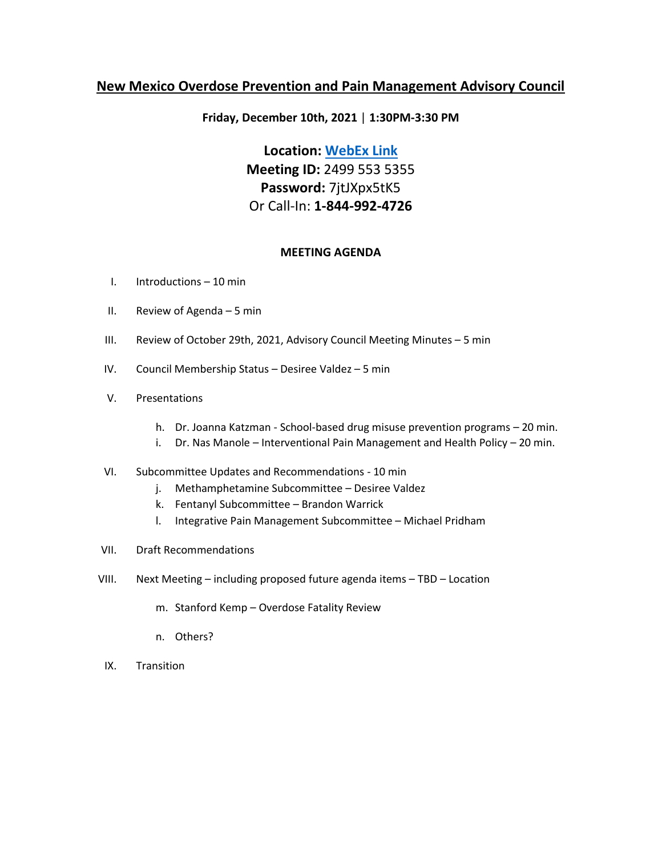# **Friday, December 10th, 2021** | **1:30PM-3:30 PM**

**Location: [WebEx Link](https://nmdoh.webex.com/nmdoh/j.php?MTID=m31c983c4d3e9c244b90d11c07c520447) Meeting ID:** 2499 553 5355 **Password:** 7jtJXpx5tK5 Or Call-In: **1-844-992-4726**

## **MEETING AGENDA**

- I. Introductions 10 min
- II. Review of Agenda 5 min
- III. Review of October 29th, 2021, Advisory Council Meeting Minutes 5 min
- IV. Council Membership Status Desiree Valdez 5 min
- V. Presentations
	- h. Dr. Joanna Katzman School-based drug misuse prevention programs 20 min.
	- i. Dr. Nas Manole Interventional Pain Management and Health Policy 20 min.
- VI. Subcommittee Updates and Recommendations 10 min
	- j. Methamphetamine Subcommittee Desiree Valdez
	- k. Fentanyl Subcommittee Brandon Warrick
	- l. Integrative Pain Management Subcommittee Michael Pridham
- VII. Draft Recommendations
- VIII. Next Meeting including proposed future agenda items TBD Location
	- m. Stanford Kemp Overdose Fatality Review
	- n. Others?
- IX. Transition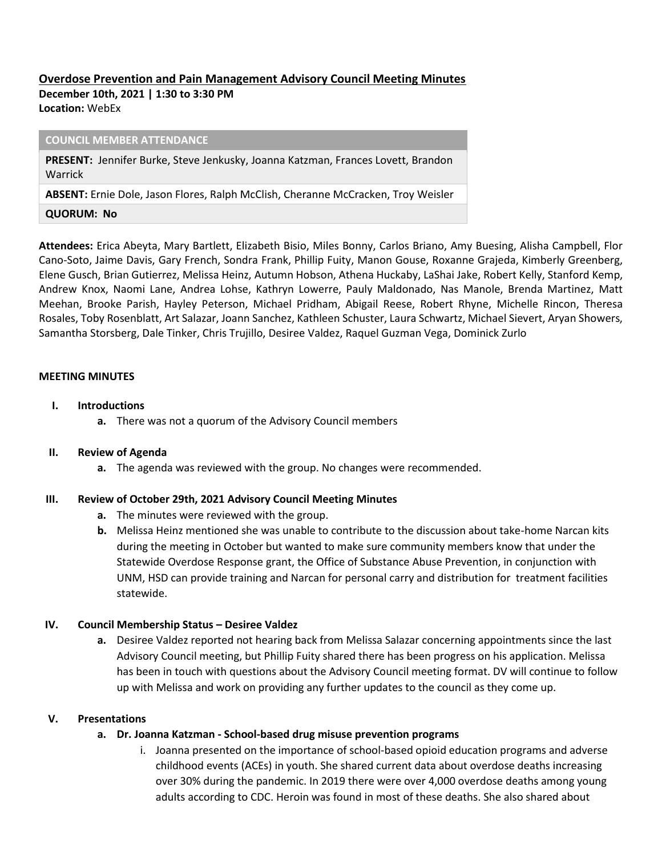# **Overdose Prevention and Pain Management Advisory Council Meeting Minutes**

**December 10th, 2021 | 1:30 to 3:30 PM Location:** WebEx

#### **COUNCIL MEMBER ATTENDANCE**

**PRESENT:** Jennifer Burke, Steve Jenkusky, Joanna Katzman, Frances Lovett, Brandon Warrick

**ABSENT:** Ernie Dole, Jason Flores, Ralph McClish, Cheranne McCracken, Troy Weisler

#### **QUORUM: No**

**Attendees:** Erica Abeyta, Mary Bartlett, Elizabeth Bisio, Miles Bonny, Carlos Briano, Amy Buesing, Alisha Campbell, Flor Cano-Soto, Jaime Davis, Gary French, Sondra Frank, Phillip Fuity, Manon Gouse, Roxanne Grajeda, Kimberly Greenberg, Elene Gusch, Brian Gutierrez, Melissa Heinz, Autumn Hobson, Athena Huckaby, LaShai Jake, Robert Kelly, Stanford Kemp, Andrew Knox, Naomi Lane, Andrea Lohse, Kathryn Lowerre, Pauly Maldonado, Nas Manole, Brenda Martinez, Matt Meehan, Brooke Parish, Hayley Peterson, Michael Pridham, Abigail Reese, Robert Rhyne, Michelle Rincon, Theresa Rosales, Toby Rosenblatt, Art Salazar, Joann Sanchez, Kathleen Schuster, Laura Schwartz, Michael Sievert, Aryan Showers, Samantha Storsberg, Dale Tinker, Chris Trujillo, Desiree Valdez, Raquel Guzman Vega, Dominick Zurlo

### **MEETING MINUTES**

### **I. Introductions**

**a.** There was not a quorum of the Advisory Council members

### **II. Review of Agenda**

**a.** The agenda was reviewed with the group. No changes were recommended.

## **III. Review of October 29th, 2021 Advisory Council Meeting Minutes**

- **a.** The minutes were reviewed with the group.
- **b.** Melissa Heinz mentioned she was unable to contribute to the discussion about take-home Narcan kits during the meeting in October but wanted to make sure community members know that under the Statewide Overdose Response grant, the Office of Substance Abuse Prevention, in conjunction with UNM, HSD can provide training and Narcan for personal carry and distribution for treatment facilities statewide.

## **IV.** Council Membership Status - Desiree Valdez

**a.** Desiree Valdez reported not hearing back from Melissa Salazar concerning appointments since the last Advisory Council meeting, but Phillip Fuity shared there has been progress on his application. Melissa has been in touch with questions about the Advisory Council meeting format. DV will continue to follow up with Melissa and work on providing any further updates to the council as they come up.

## **V. Presentations**

## **a. Dr. Joanna Katzman - School-based drug misuse prevention programs**

i. Joanna presented on the importance of school-based opioid education programs and adverse childhood events (ACEs) in youth. She shared current data about overdose deaths increasing over 30% during the pandemic. In 2019 there were over 4,000 overdose deaths among young adults according to CDC. Heroin was found in most of these deaths. She also shared about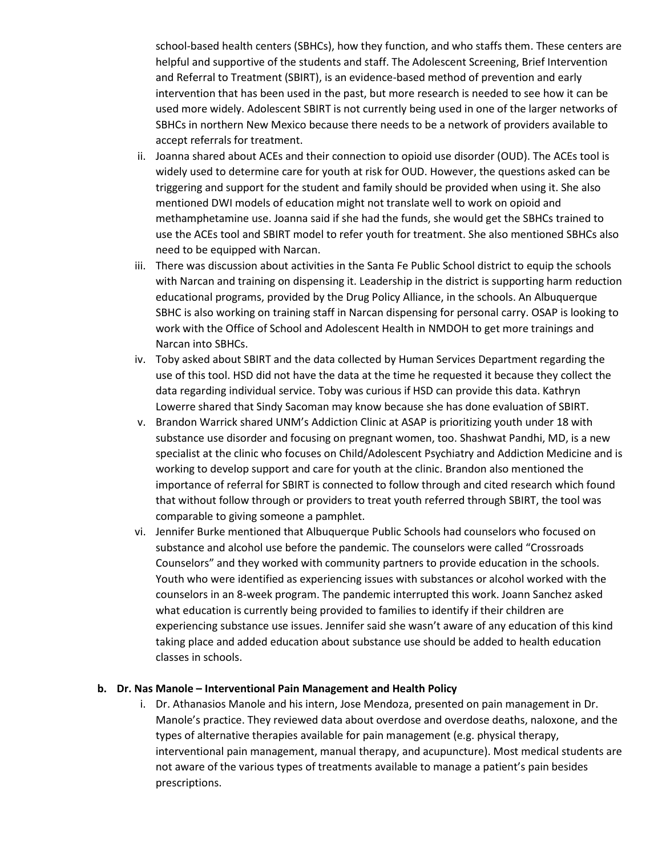school-based health centers (SBHCs), how they function, and who staffs them. These centers are helpful and supportive of the students and staff. The Adolescent Screening, Brief Intervention and Referral to Treatment (SBIRT), is an evidence-based method of prevention and early intervention that has been used in the past, but more research is needed to see how it can be used more widely. Adolescent SBIRT is not currently being used in one of the larger networks of SBHCs in northern New Mexico because there needs to be a network of providers available to accept referrals for treatment.

- ii. Joanna shared about ACEs and their connection to opioid use disorder (OUD). The ACEs tool is widely used to determine care for youth at risk for OUD. However, the questions asked can be triggering and support for the student and family should be provided when using it. She also mentioned DWI models of education might not translate well to work on opioid and methamphetamine use. Joanna said if she had the funds, she would get the SBHCs trained to use the ACEs tool and SBIRT model to refer youth for treatment. She also mentioned SBHCs also need to be equipped with Narcan.
- iii. There was discussion about activities in the Santa Fe Public School district to equip the schools with Narcan and training on dispensing it. Leadership in the district is supporting harm reduction educational programs, provided by the Drug Policy Alliance, in the schools. An Albuquerque SBHC is also working on training staff in Narcan dispensing for personal carry. OSAP is looking to work with the Office of School and Adolescent Health in NMDOH to get more trainings and Narcan into SBHCs.
- iv. Toby asked about SBIRT and the data collected by Human Services Department regarding the use of this tool. HSD did not have the data at the time he requested it because they collect the data regarding individual service. Toby was curious if HSD can provide this data. Kathryn Lowerre shared that Sindy Sacoman may know because she has done evaluation of SBIRT.
- v. Brandon Warrick shared UNM's Addiction Clinic at ASAP is prioritizing youth under 18 with substance use disorder and focusing on pregnant women, too. Shashwat Pandhi, MD, is a new specialist at the clinic who focuses on Child/Adolescent Psychiatry and Addiction Medicine and is working to develop support and care for youth at the clinic. Brandon also mentioned the importance of referral for SBIRT is connected to follow through and cited research which found that without follow through or providers to treat youth referred through SBIRT, the tool was comparable to giving someone a pamphlet.
- vi. Jennifer Burke mentioned that Albuquerque Public Schools had counselors who focused on substance and alcohol use before the pandemic. The counselors were called "Crossroads Counselors" and they worked with community partners to provide education in the schools. Youth who were identified as experiencing issues with substances or alcohol worked with the counselors in an 8-week program. The pandemic interrupted this work. Joann Sanchez asked what education is currently being provided to families to identify if their children are experiencing substance use issues. Jennifer said she wasn't aware of any education of this kind taking place and added education about substance use should be added to health education classes in schools.

### **b. Dr. Nas Manole – Interventional Pain Management and Health Policy**

i. Dr. Athanasios Manole and his intern, Jose Mendoza, presented on pain management in Dr. Manole's practice. They reviewed data about overdose and overdose deaths, naloxone, and the types of alternative therapies available for pain management (e.g. physical therapy, interventional pain management, manual therapy, and acupuncture). Most medical students are not aware of the various types of treatments available to manage a patient's pain besides prescriptions.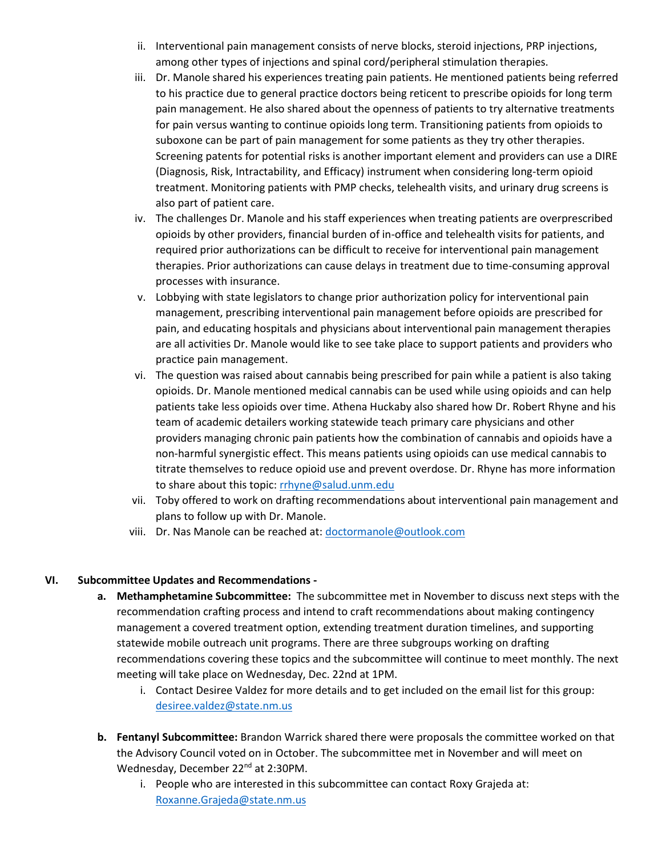- ii. Interventional pain management consists of nerve blocks, steroid injections, PRP injections, among other types of injections and spinal cord/peripheral stimulation therapies.
- iii. Dr. Manole shared his experiences treating pain patients. He mentioned patients being referred to his practice due to general practice doctors being reticent to prescribe opioids for long term pain management. He also shared about the openness of patients to try alternative treatments for pain versus wanting to continue opioids long term. Transitioning patients from opioids to suboxone can be part of pain management for some patients as they try other therapies. Screening patents for potential risks is another important element and providers can use a DIRE (Diagnosis, Risk, Intractability, and Efficacy) instrument when considering long-term opioid treatment. Monitoring patients with PMP checks, telehealth visits, and urinary drug screens is also part of patient care.
- iv. The challenges Dr. Manole and his staff experiences when treating patients are overprescribed opioids by other providers, financial burden of in-office and telehealth visits for patients, and required prior authorizations can be difficult to receive for interventional pain management therapies. Prior authorizations can cause delays in treatment due to time-consuming approval processes with insurance.
- v. Lobbying with state legislators to change prior authorization policy for interventional pain management, prescribing interventional pain management before opioids are prescribed for pain, and educating hospitals and physicians about interventional pain management therapies are all activities Dr. Manole would like to see take place to support patients and providers who practice pain management.
- vi. The question was raised about cannabis being prescribed for pain while a patient is also taking opioids. Dr. Manole mentioned medical cannabis can be used while using opioids and can help patients take less opioids over time. Athena Huckaby also shared how Dr. Robert Rhyne and his team of academic detailers working statewide teach primary care physicians and other providers managing chronic pain patients how the combination of cannabis and opioids have a non-harmful synergistic effect. This means patients using opioids can use medical cannabis to titrate themselves to reduce opioid use and prevent overdose. Dr. Rhyne has more information to share about this topic[: rrhyne@salud.unm.edu](mailto:rrhyne@salud.unm.edu)
- vii. Toby offered to work on drafting recommendations about interventional pain management and plans to follow up with Dr. Manole.
- viii. Dr. Nas Manole can be reached at: [doctormanole@outlook.com](mailto:doctormanole@outlook.com)

## **VI. Subcommittee Updates and Recommendations -**

- **a. Methamphetamine Subcommittee:** The subcommittee met in November to discuss next steps with the recommendation crafting process and intend to craft recommendations about making contingency management a covered treatment option, extending treatment duration timelines, and supporting statewide mobile outreach unit programs. There are three subgroups working on drafting recommendations covering these topics and the subcommittee will continue to meet monthly. The next meeting will take place on Wednesday, Dec. 22nd at 1PM.
	- i. Contact Desiree Valdez for more details and to get included on the email list for this group: [desiree.valdez@state.nm.us](mailto:desiree.valdez@state.nm.us)
- **b. Fentanyl Subcommittee:** Brandon Warrick shared there were proposals the committee worked on that the Advisory Council voted on in October. The subcommittee met in November and will meet on Wednesday, December 22<sup>nd</sup> at 2:30PM.
	- i. People who are interested in this subcommittee can contact Roxy Grajeda at: [Roxanne.Grajeda@state.nm.us](mailto:roxanne.grajeda@state.nm.us)